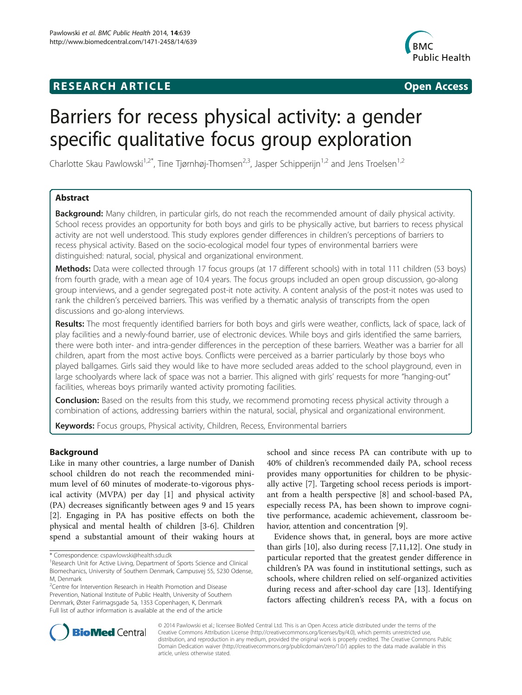# **RESEARCH ARTICLE Example 2018 12:00 Open Access**



# Barriers for recess physical activity: a gender specific qualitative focus group exploration

Charlotte Skau Pawlowski<sup>1,2\*</sup>, Tine Tjørnhøj-Thomsen<sup>2,3</sup>, Jasper Schipperijn<sup>1,2</sup> and Jens Troelsen<sup>1,2</sup>

# Abstract

Background: Many children, in particular girls, do not reach the recommended amount of daily physical activity. School recess provides an opportunity for both boys and girls to be physically active, but barriers to recess physical activity are not well understood. This study explores gender differences in children's perceptions of barriers to recess physical activity. Based on the socio-ecological model four types of environmental barriers were distinguished: natural, social, physical and organizational environment.

Methods: Data were collected through 17 focus groups (at 17 different schools) with in total 111 children (53 boys) from fourth grade, with a mean age of 10.4 years. The focus groups included an open group discussion, go-along group interviews, and a gender segregated post-it note activity. A content analysis of the post-it notes was used to rank the children's perceived barriers. This was verified by a thematic analysis of transcripts from the open discussions and go-along interviews.

Results: The most frequently identified barriers for both boys and girls were weather, conflicts, lack of space, lack of play facilities and a newly-found barrier, use of electronic devices. While boys and girls identified the same barriers, there were both inter- and intra-gender differences in the perception of these barriers. Weather was a barrier for all children, apart from the most active boys. Conflicts were perceived as a barrier particularly by those boys who played ballgames. Girls said they would like to have more secluded areas added to the school playground, even in large schoolyards where lack of space was not a barrier. This aligned with girls' requests for more "hanging-out" facilities, whereas boys primarily wanted activity promoting facilities.

**Conclusion:** Based on the results from this study, we recommend promoting recess physical activity through a combination of actions, addressing barriers within the natural, social, physical and organizational environment.

Keywords: Focus groups, Physical activity, Children, Recess, Environmental barriers

# Background

Like in many other countries, a large number of Danish school children do not reach the recommended minimum level of 60 minutes of moderate-to-vigorous physical activity (MVPA) per day [\[1](#page-8-0)] and physical activity (PA) decreases significantly between ages 9 and 15 years [[2\]](#page-8-0). Engaging in PA has positive effects on both the physical and mental health of children [\[3](#page-8-0)-[6\]](#page-8-0). Children spend a substantial amount of their waking hours at

school and since recess PA can contribute with up to 40% of children's recommended daily PA, school recess provides many opportunities for children to be physically active [[7\]](#page-8-0). Targeting school recess periods is important from a health perspective [\[8](#page-8-0)] and school-based PA, especially recess PA, has been shown to improve cognitive performance, academic achievement, classroom behavior, attention and concentration [\[9\]](#page-8-0).

Evidence shows that, in general, boys are more active than girls [[10\]](#page-8-0), also during recess [[7,11,](#page-8-0)[12\]](#page-9-0). One study in particular reported that the greatest gender difference in children's PA was found in institutional settings, such as schools, where children relied on self-organized activities during recess and after-school day care [[13\]](#page-9-0). Identifying factors affecting children's recess PA, with a focus on



© 2014 Pawlowski et al.; licensee BioMed Central Ltd. This is an Open Access article distributed under the terms of the Creative Commons Attribution License (<http://creativecommons.org/licenses/by/4.0>), which permits unrestricted use, distribution, and reproduction in any medium, provided the original work is properly credited. The Creative Commons Public Domain Dedication waiver [\(http://creativecommons.org/publicdomain/zero/1.0/\)](http://creativecommons.org/publicdomain/zero/1.0/) applies to the data made available in this article, unless otherwise stated.

<sup>\*</sup> Correspondence: [cspawlowski@health.sdu.dk](mailto:cspawlowski@health.sdu.dk) <sup>1</sup>

<sup>&</sup>lt;sup>1</sup> Research Unit for Active Living, Department of Sports Science and Clinical Biomechanics, University of Southern Denmark, Campusvej 55, 5230 Odense, M, Denmark

<sup>&</sup>lt;sup>2</sup>Centre for Intervention Research in Health Promotion and Disease Prevention, National Institute of Public Health, University of Southern Denmark, Øster Farimagsgade 5a, 1353 Copenhagen, K, Denmark Full list of author information is available at the end of the article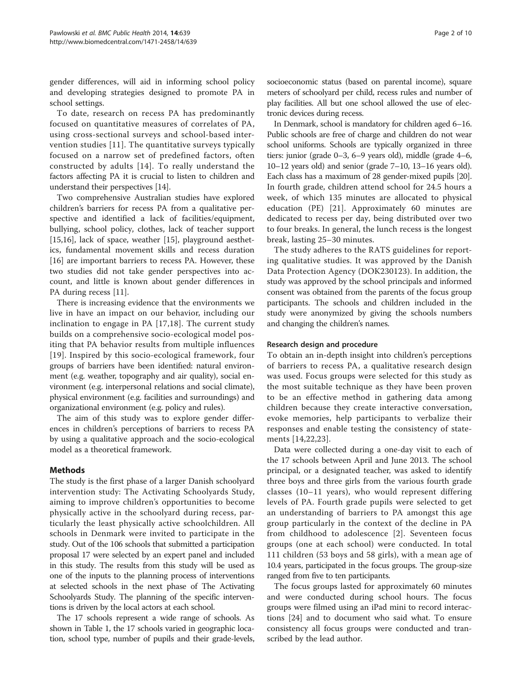gender differences, will aid in informing school policy and developing strategies designed to promote PA in school settings.

To date, research on recess PA has predominantly focused on quantitative measures of correlates of PA, using cross-sectional surveys and school-based intervention studies [[11](#page-8-0)]. The quantitative surveys typically focused on a narrow set of predefined factors, often constructed by adults [[14](#page-9-0)]. To really understand the factors affecting PA it is crucial to listen to children and understand their perspectives [\[14\]](#page-9-0).

Two comprehensive Australian studies have explored children's barriers for recess PA from a qualitative perspective and identified a lack of facilities/equipment, bullying, school policy, clothes, lack of teacher support [[15,16\]](#page-9-0), lack of space, weather [[15\]](#page-9-0), playground aesthetics, fundamental movement skills and recess duration [[16\]](#page-9-0) are important barriers to recess PA. However, these two studies did not take gender perspectives into account, and little is known about gender differences in PA during recess [\[11\]](#page-8-0).

There is increasing evidence that the environments we live in have an impact on our behavior, including our inclination to engage in PA [[17](#page-9-0),[18\]](#page-9-0). The current study builds on a comprehensive socio-ecological model positing that PA behavior results from multiple influences [[19](#page-9-0)]. Inspired by this socio-ecological framework, four groups of barriers have been identifıed: natural environment (e.g. weather, topography and air quality), social environment (e.g. interpersonal relations and social climate), physical environment (e.g. facilities and surroundings) and organizational environment (e.g. policy and rules).

The aim of this study was to explore gender differences in children's perceptions of barriers to recess PA by using a qualitative approach and the socio-ecological model as a theoretical framework.

# Methods

The study is the first phase of a larger Danish schoolyard intervention study: The Activating Schoolyards Study, aiming to improve children's opportunities to become physically active in the schoolyard during recess, particularly the least physically active schoolchildren. All schools in Denmark were invited to participate in the study. Out of the 106 schools that submitted a participation proposal 17 were selected by an expert panel and included in this study. The results from this study will be used as one of the inputs to the planning process of interventions at selected schools in the next phase of The Activating Schoolyards Study. The planning of the specific interventions is driven by the local actors at each school.

The 17 schools represent a wide range of schools. As shown in Table [1](#page-2-0), the 17 schools varied in geographic location, school type, number of pupils and their grade-levels, socioeconomic status (based on parental income), square meters of schoolyard per child, recess rules and number of play facilities. All but one school allowed the use of electronic devices during recess.

In Denmark, school is mandatory for children aged 6–16. Public schools are free of charge and children do not wear school uniforms. Schools are typically organized in three tiers: junior (grade 0–3, 6–9 years old), middle (grade 4–6, 10–12 years old) and senior (grade 7–10, 13–16 years old). Each class has a maximum of 28 gender-mixed pupils [\[20](#page-9-0)]. In fourth grade, children attend school for 24.5 hours a week, of which 135 minutes are allocated to physical education (PE) [\[21](#page-9-0)]. Approximately 60 minutes are dedicated to recess per day, being distributed over two to four breaks. In general, the lunch recess is the longest break, lasting 25–30 minutes.

The study adheres to the RATS guidelines for reporting qualitative studies. It was approved by the Danish Data Protection Agency (DOK230123). In addition, the study was approved by the school principals and informed consent was obtained from the parents of the focus group participants. The schools and children included in the study were anonymized by giving the schools numbers and changing the children's names.

### Research design and procedure

To obtain an in-depth insight into children's perceptions of barriers to recess PA, a qualitative research design was used. Focus groups were selected for this study as the most suitable technique as they have been proven to be an effective method in gathering data among children because they create interactive conversation, evoke memories, help participants to verbalize their responses and enable testing the consistency of statements [[14,22](#page-9-0),[23\]](#page-9-0).

Data were collected during a one-day visit to each of the 17 schools between April and June 2013. The school principal, or a designated teacher, was asked to identify three boys and three girls from the various fourth grade classes (10–11 years), who would represent differing levels of PA. Fourth grade pupils were selected to get an understanding of barriers to PA amongst this age group particularly in the context of the decline in PA from childhood to adolescence [[2](#page-8-0)]. Seventeen focus groups (one at each school) were conducted. In total 111 children (53 boys and 58 girls), with a mean age of 10.4 years, participated in the focus groups. The group-size ranged from five to ten participants.

The focus groups lasted for approximately 60 minutes and were conducted during school hours. The focus groups were filmed using an iPad mini to record interactions [\[24](#page-9-0)] and to document who said what. To ensure consistency all focus groups were conducted and transcribed by the lead author.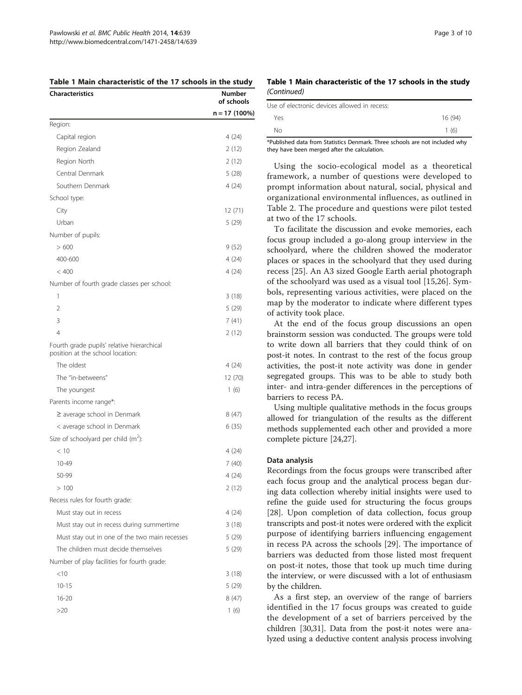<span id="page-2-0"></span>

|  |  | Table 1 Main characteristic of the 17 schools in the study |  |  |  |
|--|--|------------------------------------------------------------|--|--|--|
|--|--|------------------------------------------------------------|--|--|--|

| <b>Characteristics</b>                                                         | Number<br>of schools |
|--------------------------------------------------------------------------------|----------------------|
|                                                                                | n = 17 (100%)        |
| Region:                                                                        |                      |
| Capital region                                                                 | 4(24)                |
| Region Zealand                                                                 | 2(12)                |
| Region North                                                                   | 2(12)                |
| Central Denmark                                                                | 5 (28)               |
| Southern Denmark                                                               | 4(24)                |
| School type:                                                                   |                      |
| City                                                                           | 12 (71)              |
| Urban                                                                          | 5 (29)               |
| Number of pupils:                                                              |                      |
| >600                                                                           | 9(52)                |
| 400-600                                                                        | 4 (24)               |
| < 400                                                                          | 4(24)                |
| Number of fourth grade classes per school:                                     |                      |
| 1                                                                              | 3(18)                |
| 2                                                                              | 5 (29)               |
| 3                                                                              | 7 (41)               |
| 4                                                                              | 2(12)                |
| Fourth grade pupils' relative hierarchical<br>position at the school location: |                      |
| The oldest                                                                     | 4(24)                |
| The "in-betweens"                                                              | 12 (70)              |
| The youngest                                                                   | 1(6)                 |
| Parents income range*:                                                         |                      |
| $\geq$ average school in Denmark                                               | 8 (47)               |
| < average school in Denmark                                                    | 6 (35)               |
| Size of schoolyard per child $(m2)$ :                                          |                      |
| < 10                                                                           | 4 (24)               |
| 10-49                                                                          | 7(40)                |
| 50-99                                                                          | 4 (24)               |
| >100                                                                           | 2(12)                |
| Recess rules for fourth grade:                                                 |                      |
| Must stay out in recess                                                        | 4 (24)               |
| Must stay out in recess during summertime                                      | 3(18)                |
| Must stay out in one of the two main recesses                                  | 5(29)                |
| The children must decide themselves                                            | 5 (29)               |
| Number of play facilities for fourth grade:                                    |                      |
| $<$ 10                                                                         | 3(18)                |
| $10 - 15$                                                                      | 5(29)                |
| 16-20                                                                          | 8(47)                |
| >20                                                                            | 1(6)                 |

|             | Table 1 Main characteristic of the 17 schools in the study |  |  |  |  |
|-------------|------------------------------------------------------------|--|--|--|--|
| (Continued) |                                                            |  |  |  |  |

| Use of electronic devices allowed in recess:                               |        |  |  |
|----------------------------------------------------------------------------|--------|--|--|
| Yρς                                                                        | 16(94) |  |  |
| Nο                                                                         | 1(6)   |  |  |
| *Bubliched data from Ctatistics Donmark Three schools are not included why |        |  |  |

<sup>9</sup>ublished data from Statistics Denmark. Three schools are not included why they have been merged after the calculation.

Using the socio-ecological model as a theoretical framework, a number of questions were developed to prompt information about natural, social, physical and organizational environmental influences, as outlined in Table [2.](#page-3-0) The procedure and questions were pilot tested at two of the 17 schools.

To facilitate the discussion and evoke memories, each focus group included a go-along group interview in the schoolyard, where the children showed the moderator places or spaces in the schoolyard that they used during recess [[25\]](#page-9-0). An A3 sized Google Earth aerial photograph of the schoolyard was used as a visual tool [[15,26\]](#page-9-0). Symbols, representing various activities, were placed on the map by the moderator to indicate where different types of activity took place.

At the end of the focus group discussions an open brainstorm session was conducted. The groups were told to write down all barriers that they could think of on post-it notes. In contrast to the rest of the focus group activities, the post-it note activity was done in gender segregated groups. This was to be able to study both inter- and intra-gender differences in the perceptions of barriers to recess PA.

Using multiple qualitative methods in the focus groups allowed for triangulation of the results as the different methods supplemented each other and provided a more complete picture [[24,27\]](#page-9-0).

#### Data analysis

Recordings from the focus groups were transcribed after each focus group and the analytical process began during data collection whereby initial insights were used to refine the guide used for structuring the focus groups [[28\]](#page-9-0). Upon completion of data collection, focus group transcripts and post-it notes were ordered with the explicit purpose of identifying barriers influencing engagement in recess PA across the schools [[29\]](#page-9-0). The importance of barriers was deducted from those listed most frequent on post-it notes, those that took up much time during the interview, or were discussed with a lot of enthusiasm by the children.

As a first step, an overview of the range of barriers identified in the 17 focus groups was created to guide the development of a set of barriers perceived by the children [\[30,31\]](#page-9-0). Data from the post-it notes were analyzed using a deductive content analysis process involving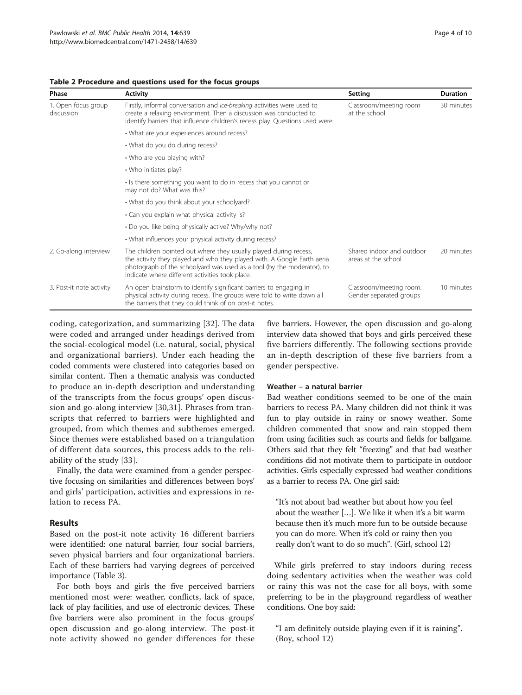| Phase                             | <b>Activity</b>                                                                                                                                                                                                                                                           | Setting                                            | <b>Duration</b> |
|-----------------------------------|---------------------------------------------------------------------------------------------------------------------------------------------------------------------------------------------------------------------------------------------------------------------------|----------------------------------------------------|-----------------|
| 1. Open focus group<br>discussion | Firstly, informal conversation and <i>ice-breaking</i> activities were used to<br>create a relaxing environment. Then a discussion was conducted to<br>identify barriers that influence children's recess play. Questions used were:                                      | Classroom/meeting room<br>at the school            | 30 minutes      |
|                                   | • What are your experiences around recess?                                                                                                                                                                                                                                |                                                    |                 |
|                                   | • What do you do during recess?                                                                                                                                                                                                                                           |                                                    |                 |
|                                   | • Who are you playing with?                                                                                                                                                                                                                                               |                                                    |                 |
|                                   | • Who initiates play?                                                                                                                                                                                                                                                     |                                                    |                 |
|                                   | • Is there something you want to do in recess that you cannot or<br>may not do? What was this?                                                                                                                                                                            |                                                    |                 |
|                                   | • What do you think about your schoolyard?                                                                                                                                                                                                                                |                                                    |                 |
|                                   | • Can you explain what physical activity is?                                                                                                                                                                                                                              |                                                    |                 |
|                                   | . Do you like being physically active? Why/why not?                                                                                                                                                                                                                       |                                                    |                 |
|                                   | • What influences your physical activity during recess?                                                                                                                                                                                                                   |                                                    |                 |
| 2. Go-along interview             | The children pointed out where they usually played during recess,<br>the activity they played and who they played with. A Google Earth aeria<br>photograph of the schoolyard was used as a tool (by the moderator), to<br>indicate where different activities took place. | Shared indoor and outdoor<br>areas at the school   | 20 minutes      |
| 3. Post-it note activity          | An open brainstorm to identify significant barriers to engaging in<br>physical activity during recess. The groups were told to write down all<br>the barriers that they could think of on post-it notes.                                                                  | Classroom/meeting room.<br>Gender separated groups | 10 minutes      |

#### <span id="page-3-0"></span>Table 2 Procedure and questions used for the focus groups

coding, categorization, and summarizing [[32](#page-9-0)]. The data were coded and arranged under headings derived from the social-ecological model (i.e. natural, social, physical and organizational barriers). Under each heading the coded comments were clustered into categories based on similar content. Then a thematic analysis was conducted to produce an in-depth description and understanding of the transcripts from the focus groups' open discussion and go-along interview [\[30,31](#page-9-0)]. Phrases from transcripts that referred to barriers were highlighted and grouped, from which themes and subthemes emerged. Since themes were established based on a triangulation of different data sources, this process adds to the reliability of the study [\[33\]](#page-9-0).

Finally, the data were examined from a gender perspective focusing on similarities and differences between boys' and girls' participation, activities and expressions in relation to recess PA.

#### Results

Based on the post-it note activity 16 different barriers were identified: one natural barrier, four social barriers, seven physical barriers and four organizational barriers. Each of these barriers had varying degrees of perceived importance (Table [3](#page-4-0)).

For both boys and girls the five perceived barriers mentioned most were: weather, conflicts, lack of space, lack of play facilities, and use of electronic devices. These five barriers were also prominent in the focus groups' open discussion and go-along interview. The post-it note activity showed no gender differences for these

five barriers. However, the open discussion and go-along interview data showed that boys and girls perceived these five barriers differently. The following sections provide an in-depth description of these five barriers from a gender perspective.

#### Weather – a natural barrier

Bad weather conditions seemed to be one of the main barriers to recess PA. Many children did not think it was fun to play outside in rainy or snowy weather. Some children commented that snow and rain stopped them from using facilities such as courts and fields for ballgame. Others said that they felt "freezing" and that bad weather conditions did not motivate them to participate in outdoor activities. Girls especially expressed bad weather conditions as a barrier to recess PA. One girl said:

"It's not about bad weather but about how you feel about the weather […]. We like it when it's a bit warm because then it's much more fun to be outside because you can do more. When it's cold or rainy then you really don't want to do so much". (Girl, school 12)

While girls preferred to stay indoors during recess doing sedentary activities when the weather was cold or rainy this was not the case for all boys, with some preferring to be in the playground regardless of weather conditions. One boy said:

"I am definitely outside playing even if it is raining". (Boy, school 12)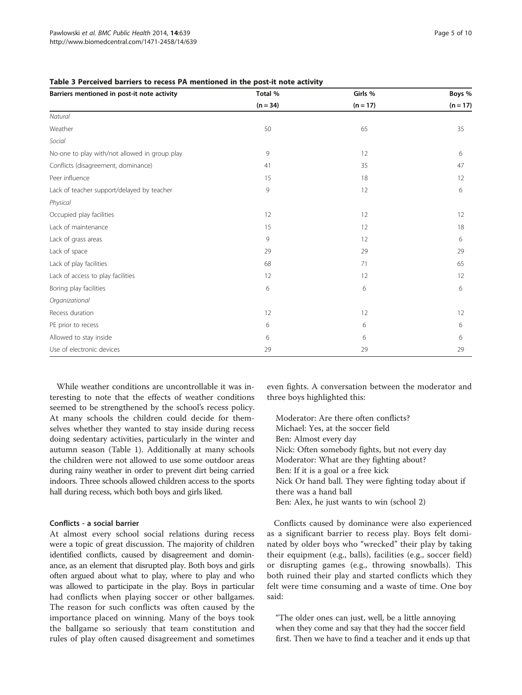| Barriers mentioned in post-it note activity   | Total %    | Girls %    | Boys %     |
|-----------------------------------------------|------------|------------|------------|
|                                               | $(n = 34)$ | $(n = 17)$ | $(n = 17)$ |
| Natural                                       |            |            |            |
| Weather                                       | 50         | 65         | 35         |
| Social                                        |            |            |            |
| No-one to play with/not allowed in group play | 9          | 12         | 6          |
| Conflicts (disagreement, dominance)           | 41         | 35         | 47         |
| Peer influence                                | 15         | 18         | 12         |
| Lack of teacher support/delayed by teacher    | 9          | 12         | 6          |
| Physical                                      |            |            |            |
| Occupied play facilities                      | 12         | 12         | 12         |
| Lack of maintenance                           | 15         | 12         | 18         |
| Lack of grass areas                           | 9          | 12         | 6          |
| Lack of space                                 | 29         | 29         | 29         |
| Lack of play facilities                       | 68         | 71         | 65         |
| Lack of access to play facilities             | 12         | 12         | 12         |
| Boring play facilities                        | 6          | 6          | 6          |
| Organizational                                |            |            |            |
| Recess duration                               | 12         | 12         | 12         |
| PE prior to recess                            | 6          | 6          | 6          |
| Allowed to stay inside                        | 6          | 6          | 6          |
| Use of electronic devices                     | 29         | 29         | 29         |

<span id="page-4-0"></span>Table 3 Perceived barriers to recess PA mentioned in the post-it note activity

While weather conditions are uncontrollable it was interesting to note that the effects of weather conditions seemed to be strengthened by the school's recess policy. At many schools the children could decide for themselves whether they wanted to stay inside during recess doing sedentary activities, particularly in the winter and autumn season (Table [1](#page-2-0)). Additionally at many schools the children were not allowed to use some outdoor areas during rainy weather in order to prevent dirt being carried indoors. Three schools allowed children access to the sports hall during recess, which both boys and girls liked.

### Conflicts - a social barrier

At almost every school social relations during recess were a topic of great discussion. The majority of children identified conflicts, caused by disagreement and dominance, as an element that disrupted play. Both boys and girls often argued about what to play, where to play and who was allowed to participate in the play. Boys in particular had conflicts when playing soccer or other ballgames. The reason for such conflicts was often caused by the importance placed on winning. Many of the boys took the ballgame so seriously that team constitution and rules of play often caused disagreement and sometimes

even fights. A conversation between the moderator and three boys highlighted this:

Moderator: Are there often conflicts? Michael: Yes, at the soccer field Ben: Almost every day Nick: Often somebody fights, but not every day Moderator: What are they fighting about? Ben: If it is a goal or a free kick Nick Or hand ball. They were fighting today about if there was a hand ball Ben: Alex, he just wants to win (school 2)

Conflicts caused by dominance were also experienced as a significant barrier to recess play. Boys felt dominated by older boys who "wrecked" their play by taking their equipment (e.g., balls), facilities (e.g., soccer field) or disrupting games (e.g., throwing snowballs). This both ruined their play and started conflicts which they felt were time consuming and a waste of time. One boy said:

"The older ones can just, well, be a little annoying when they come and say that they had the soccer field first. Then we have to find a teacher and it ends up that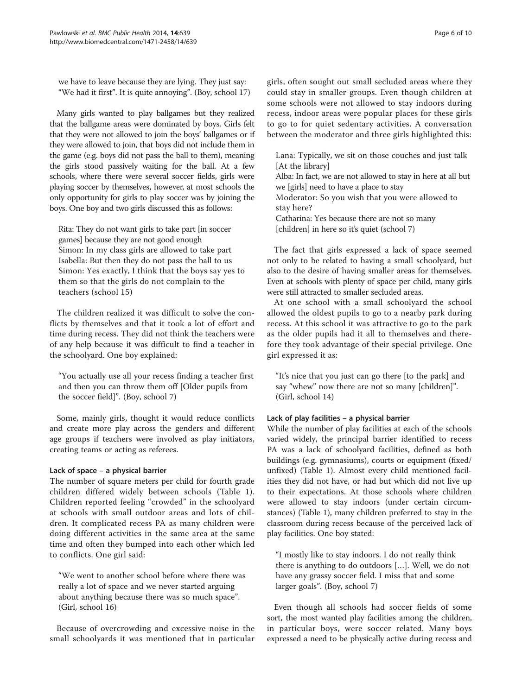we have to leave because they are lying. They just say: "We had it first". It is quite annoying". (Boy, school 17)

Many girls wanted to play ballgames but they realized that the ballgame areas were dominated by boys. Girls felt that they were not allowed to join the boys' ballgames or if they were allowed to join, that boys did not include them in the game (e.g. boys did not pass the ball to them), meaning the girls stood passively waiting for the ball. At a few schools, where there were several soccer fields, girls were playing soccer by themselves, however, at most schools the only opportunity for girls to play soccer was by joining the boys. One boy and two girls discussed this as follows:

Rita: They do not want girls to take part [in soccer games] because they are not good enough Simon: In my class girls are allowed to take part Isabella: But then they do not pass the ball to us Simon: Yes exactly, I think that the boys say yes to them so that the girls do not complain to the teachers (school 15)

The children realized it was difficult to solve the conflicts by themselves and that it took a lot of effort and time during recess. They did not think the teachers were of any help because it was difficult to find a teacher in the schoolyard. One boy explained:

"You actually use all your recess finding a teacher first and then you can throw them off [Older pupils from the soccer field]". (Boy, school 7)

Some, mainly girls, thought it would reduce conflicts and create more play across the genders and different age groups if teachers were involved as play initiators, creating teams or acting as referees.

# Lack of space – a physical barrier

The number of square meters per child for fourth grade children differed widely between schools (Table [1](#page-2-0)). Children reported feeling "crowded" in the schoolyard at schools with small outdoor areas and lots of children. It complicated recess PA as many children were doing different activities in the same area at the same time and often they bumped into each other which led to conflicts. One girl said:

"We went to another school before where there was really a lot of space and we never started arguing about anything because there was so much space". (Girl, school 16)

Because of overcrowding and excessive noise in the small schoolyards it was mentioned that in particular

girls, often sought out small secluded areas where they could stay in smaller groups. Even though children at some schools were not allowed to stay indoors during recess, indoor areas were popular places for these girls to go to for quiet sedentary activities. A conversation between the moderator and three girls highlighted this:

Lana: Typically, we sit on those couches and just talk [At the library] Alba: In fact, we are not allowed to stay in here at all but we [girls] need to have a place to stay Moderator: So you wish that you were allowed to stay here? Catharina: Yes because there are not so many [children] in here so it's quiet (school 7)

The fact that girls expressed a lack of space seemed not only to be related to having a small schoolyard, but also to the desire of having smaller areas for themselves. Even at schools with plenty of space per child, many girls were still attracted to smaller secluded areas.

At one school with a small schoolyard the school allowed the oldest pupils to go to a nearby park during recess. At this school it was attractive to go to the park as the older pupils had it all to themselves and therefore they took advantage of their special privilege. One girl expressed it as:

"It's nice that you just can go there [to the park] and say "whew" now there are not so many [children]". (Girl, school 14)

# Lack of play facilities – a physical barrier

While the number of play facilities at each of the schools varied widely, the principal barrier identified to recess PA was a lack of schoolyard facilities, defined as both buildings (e.g. gymnasiums), courts or equipment (fixed/ unfixed) (Table [1](#page-2-0)). Almost every child mentioned facilities they did not have, or had but which did not live up to their expectations. At those schools where children were allowed to stay indoors (under certain circumstances) (Table [1\)](#page-2-0), many children preferred to stay in the classroom during recess because of the perceived lack of play facilities. One boy stated:

"I mostly like to stay indoors. I do not really think there is anything to do outdoors […]. Well, we do not have any grassy soccer field. I miss that and some larger goals". (Boy, school 7)

Even though all schools had soccer fields of some sort, the most wanted play facilities among the children, in particular boys, were soccer related. Many boys expressed a need to be physically active during recess and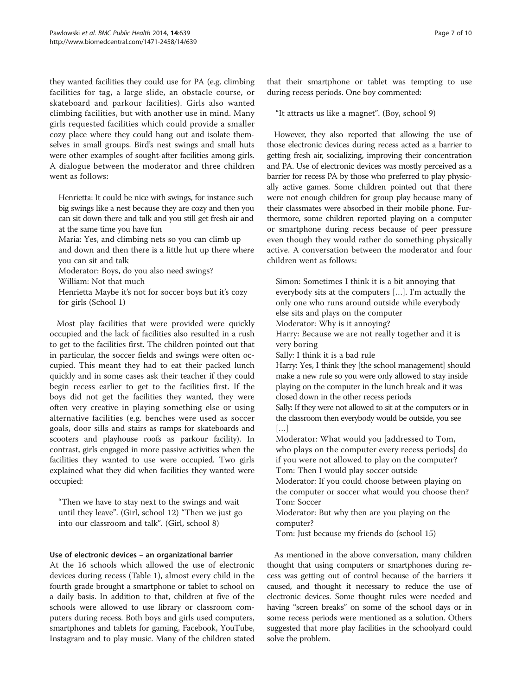they wanted facilities they could use for PA (e.g. climbing facilities for tag, a large slide, an obstacle course, or skateboard and parkour facilities). Girls also wanted climbing facilities, but with another use in mind. Many girls requested facilities which could provide a smaller cozy place where they could hang out and isolate themselves in small groups. Bird's nest swings and small huts were other examples of sought-after facilities among girls. A dialogue between the moderator and three children went as follows:

Henrietta: It could be nice with swings, for instance such big swings like a nest because they are cozy and then you can sit down there and talk and you still get fresh air and at the same time you have fun

Maria: Yes, and climbing nets so you can climb up and down and then there is a little hut up there where you can sit and talk

Moderator: Boys, do you also need swings?

William: Not that much

Henrietta Maybe it's not for soccer boys but it's cozy for girls (School 1)

Most play facilities that were provided were quickly occupied and the lack of facilities also resulted in a rush to get to the facilities first. The children pointed out that in particular, the soccer fields and swings were often occupied. This meant they had to eat their packed lunch quickly and in some cases ask their teacher if they could begin recess earlier to get to the facilities first. If the boys did not get the facilities they wanted, they were often very creative in playing something else or using alternative facilities (e.g. benches were used as soccer goals, door sills and stairs as ramps for skateboards and scooters and playhouse roofs as parkour facility). In contrast, girls engaged in more passive activities when the facilities they wanted to use were occupied. Two girls explained what they did when facilities they wanted were occupied:

"Then we have to stay next to the swings and wait until they leave". (Girl, school 12) "Then we just go into our classroom and talk". (Girl, school 8)

# Use of electronic devices – an organizational barrier

At the 16 schools which allowed the use of electronic devices during recess (Table [1](#page-2-0)), almost every child in the fourth grade brought a smartphone or tablet to school on a daily basis. In addition to that, children at five of the schools were allowed to use library or classroom computers during recess. Both boys and girls used computers, smartphones and tablets for gaming, Facebook, YouTube, Instagram and to play music. Many of the children stated that their smartphone or tablet was tempting to use during recess periods. One boy commented:

"It attracts us like a magnet". (Boy, school 9)

However, they also reported that allowing the use of those electronic devices during recess acted as a barrier to getting fresh air, socializing, improving their concentration and PA. Use of electronic devices was mostly perceived as a barrier for recess PA by those who preferred to play physically active games. Some children pointed out that there were not enough children for group play because many of their classmates were absorbed in their mobile phone. Furthermore, some children reported playing on a computer or smartphone during recess because of peer pressure even though they would rather do something physically active. A conversation between the moderator and four children went as follows:

Simon: Sometimes I think it is a bit annoying that everybody sits at the computers […]. I'm actually the only one who runs around outside while everybody else sits and plays on the computer Moderator: Why is it annoying? Harry: Because we are not really together and it is very boring Sally: I think it is a bad rule Harry: Yes, I think they [the school management] should make a new rule so you were only allowed to stay inside playing on the computer in the lunch break and it was closed down in the other recess periods Sally: If they were not allowed to sit at the computers or in the classroom then everybody would be outside, you see […] Moderator: What would you [addressed to Tom, who plays on the computer every recess periods] do if you were not allowed to play on the computer? Tom: Then I would play soccer outside Moderator: If you could choose between playing on the computer or soccer what would you choose then? Tom: Soccer Moderator: But why then are you playing on the computer? Tom: Just because my friends do (school 15)

As mentioned in the above conversation, many children thought that using computers or smartphones during recess was getting out of control because of the barriers it caused, and thought it necessary to reduce the use of electronic devices. Some thought rules were needed and having "screen breaks" on some of the school days or in some recess periods were mentioned as a solution. Others suggested that more play facilities in the schoolyard could solve the problem.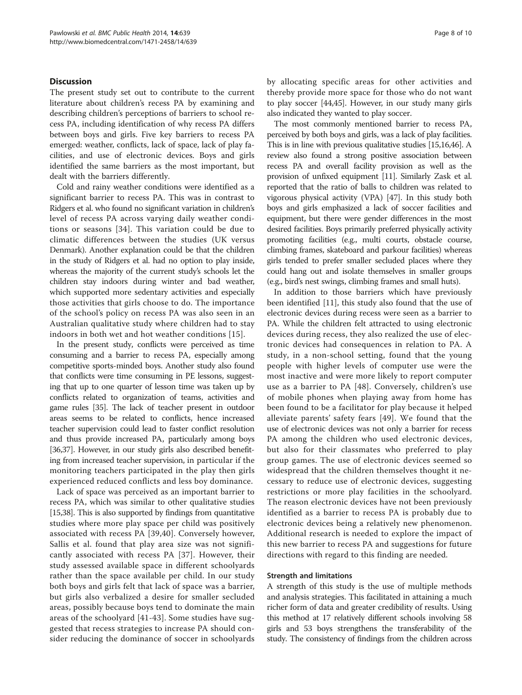# **Discussion**

The present study set out to contribute to the current literature about children's recess PA by examining and describing children's perceptions of barriers to school recess PA, including identification of why recess PA differs between boys and girls. Five key barriers to recess PA emerged: weather, conflicts, lack of space, lack of play facilities, and use of electronic devices. Boys and girls identified the same barriers as the most important, but dealt with the barriers differently.

Cold and rainy weather conditions were identified as a significant barrier to recess PA. This was in contrast to Ridgers et al. who found no significant variation in children's level of recess PA across varying daily weather conditions or seasons [[34](#page-9-0)]. This variation could be due to climatic differences between the studies (UK versus Denmark). Another explanation could be that the children in the study of Ridgers et al. had no option to play inside, whereas the majority of the current study's schools let the children stay indoors during winter and bad weather, which supported more sedentary activities and especially those activities that girls choose to do. The importance of the school's policy on recess PA was also seen in an Australian qualitative study where children had to stay indoors in both wet and hot weather conditions [[15](#page-9-0)].

In the present study, conflicts were perceived as time consuming and a barrier to recess PA, especially among competitive sports-minded boys. Another study also found that conflicts were time consuming in PE lessons, suggesting that up to one quarter of lesson time was taken up by conflicts related to organization of teams, activities and game rules [[35](#page-9-0)]. The lack of teacher present in outdoor areas seems to be related to conflicts, hence increased teacher supervision could lead to faster conflict resolution and thus provide increased PA, particularly among boys [[36,37\]](#page-9-0). However, in our study girls also described benefiting from increased teacher supervision, in particular if the monitoring teachers participated in the play then girls experienced reduced conflicts and less boy dominance.

Lack of space was perceived as an important barrier to recess PA, which was similar to other qualitative studies [[15,38\]](#page-9-0). This is also supported by findings from quantitative studies where more play space per child was positively associated with recess PA [[39](#page-9-0),[40\]](#page-9-0). Conversely however, Sallis et al. found that play area size was not significantly associated with recess PA [[37](#page-9-0)]. However, their study assessed available space in different schoolyards rather than the space available per child. In our study both boys and girls felt that lack of space was a barrier, but girls also verbalized a desire for smaller secluded areas, possibly because boys tend to dominate the main areas of the schoolyard [[41](#page-9-0)-[43](#page-9-0)]. Some studies have suggested that recess strategies to increase PA should consider reducing the dominance of soccer in schoolyards by allocating specific areas for other activities and thereby provide more space for those who do not want to play soccer [\[44,45\]](#page-9-0). However, in our study many girls also indicated they wanted to play soccer.

The most commonly mentioned barrier to recess PA, perceived by both boys and girls, was a lack of play facilities. This is in line with previous qualitative studies [[15,16,46\]](#page-9-0). A review also found a strong positive association between recess PA and overall facility provision as well as the provision of unfixed equipment [\[11](#page-8-0)]. Similarly Zask et al. reported that the ratio of balls to children was related to vigorous physical activity (VPA) [\[47\]](#page-9-0). In this study both boys and girls emphasized a lack of soccer facilities and equipment, but there were gender differences in the most desired facilities. Boys primarily preferred physically activity promoting facilities (e.g., multi courts, obstacle course, climbing frames, skateboard and parkour facilities) whereas girls tended to prefer smaller secluded places where they could hang out and isolate themselves in smaller groups (e.g., bird's nest swings, climbing frames and small huts).

In addition to those barriers which have previously been identified [[11\]](#page-8-0), this study also found that the use of electronic devices during recess were seen as a barrier to PA. While the children felt attracted to using electronic devices during recess, they also realized the use of electronic devices had consequences in relation to PA. A study, in a non-school setting, found that the young people with higher levels of computer use were the most inactive and were more likely to report computer use as a barrier to PA [[48](#page-9-0)]. Conversely, children's use of mobile phones when playing away from home has been found to be a facilitator for play because it helped alleviate parents' safety fears [[49\]](#page-9-0). We found that the use of electronic devices was not only a barrier for recess PA among the children who used electronic devices, but also for their classmates who preferred to play group games. The use of electronic devices seemed so widespread that the children themselves thought it necessary to reduce use of electronic devices, suggesting restrictions or more play facilities in the schoolyard. The reason electronic devices have not been previously identified as a barrier to recess PA is probably due to electronic devices being a relatively new phenomenon. Additional research is needed to explore the impact of this new barrier to recess PA and suggestions for future directions with regard to this finding are needed.

#### Strength and limitations

A strength of this study is the use of multiple methods and analysis strategies. This facilitated in attaining a much richer form of data and greater credibility of results. Using this method at 17 relatively different schools involving 58 girls and 53 boys strengthens the transferability of the study. The consistency of findings from the children across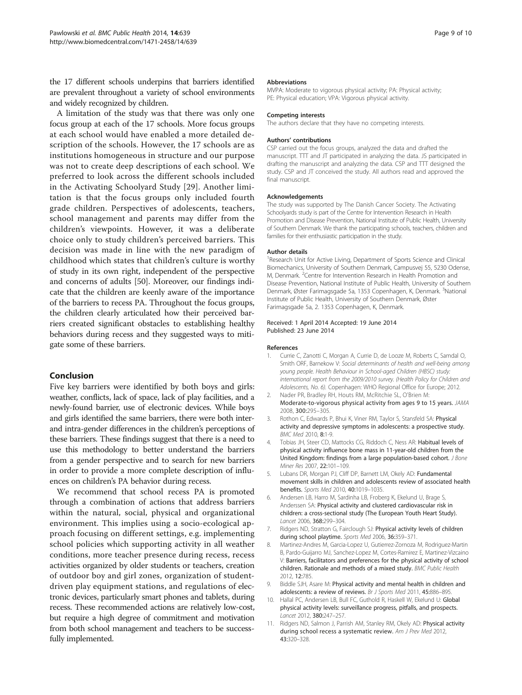<span id="page-8-0"></span>the 17 different schools underpins that barriers identified are prevalent throughout a variety of school environments and widely recognized by children.

A limitation of the study was that there was only one focus group at each of the 17 schools. More focus groups at each school would have enabled a more detailed description of the schools. However, the 17 schools are as institutions homogeneous in structure and our purpose was not to create deep descriptions of each school. We preferred to look across the different schools included in the Activating Schoolyard Study [[29\]](#page-9-0). Another limitation is that the focus groups only included fourth grade children. Perspectives of adolescents, teachers, school management and parents may differ from the children's viewpoints. However, it was a deliberate choice only to study children's perceived barriers. This decision was made in line with the new paradigm of childhood which states that children's culture is worthy of study in its own right, independent of the perspective and concerns of adults [\[50](#page-9-0)]. Moreover, our findings indicate that the children are keenly aware of the importance of the barriers to recess PA. Throughout the focus groups, the children clearly articulated how their perceived barriers created significant obstacles to establishing healthy behaviors during recess and they suggested ways to mitigate some of these barriers.

# Conclusion

Five key barriers were identified by both boys and girls: weather, conflicts, lack of space, lack of play facilities, and a newly-found barrier, use of electronic devices. While boys and girls identified the same barriers, there were both interand intra-gender differences in the children's perceptions of these barriers. These findings suggest that there is a need to use this methodology to better understand the barriers from a gender perspective and to search for new barriers in order to provide a more complete description of influences on children's PA behavior during recess.

We recommend that school recess PA is promoted through a combination of actions that address barriers within the natural, social, physical and organizational environment. This implies using a socio-ecological approach focusing on different settings, e.g. implementing school policies which supporting activity in all weather conditions, more teacher presence during recess, recess activities organized by older students or teachers, creation of outdoor boy and girl zones, organization of studentdriven play equipment stations, and regulations of electronic devices, particularly smart phones and tablets, during recess. These recommended actions are relatively low-cost, but require a high degree of commitment and motivation from both school management and teachers to be successfully implemented.

#### Abbreviations

MVPA: Moderate to vigorous physical activity; PA: Physical activity; PE: Physical education; VPA: Vigorous physical activity.

#### Competing interests

The authors declare that they have no competing interests.

#### Authors' contributions

CSP carried out the focus groups, analyzed the data and drafted the manuscript. TTT and JT participated in analyzing the data. JS participated in drafting the manuscript and analyzing the data. CSP and TTT designed the study. CSP and JT conceived the study. All authors read and approved the final manuscript.

#### Acknowledgements

The study was supported by The Danish Cancer Society. The Activating Schoolyards study is part of the Centre for Intervention Research in Health Promotion and Disease Prevention, National Institute of Public Health, University of Southern Denmark. We thank the participating schools, teachers, children and families for their enthusiastic participation in the study.

#### Author details

<sup>1</sup> Research Unit for Active Living, Department of Sports Science and Clinical Biomechanics, University of Southern Denmark, Campusvej 55, 5230 Odense, M, Denmark. <sup>2</sup> Centre for Intervention Research in Health Promotion and Disease Prevention, National Institute of Public Health, University of Southern Denmark, Øster Farimagsgade 5a, 1353 Copenhagen, K, Denmark. <sup>3</sup>National Institute of Public Health, University of Southern Denmark, Øster Farimagsgade 5a, 2. 1353 Copenhagen, K, Denmark.

#### Received: 1 April 2014 Accepted: 19 June 2014 Published: 23 June 2014

#### References

- 1. Currie C, Zanotti C, Morgan A, Currie D, de Looze M, Roberts C, Samdal O, Smith ORF, Barnekow V: Social determinants of health and well-being among young people. Health Behaviour in School-aged Children (HBSC) study: international report from the 2009/2010 survey. (Health Policy for Children and Adolescents, No. 6). Copenhagen: WHO Regional Office for Europe; 2012.
- 2. Nader PR, Bradley RH, Houts RM, McRitchie SL, O'Brien M: Moderate-to-vigorous physical activity from ages 9 to 15 years. JAMA 2008, 300:295–305.
- 3. Rothon C, Edwards P, Bhui K, Viner RM, Taylor S, Stansfeld SA: Physical activity and depressive symptoms in adolescents: a prospective study. BMC Med 2010, 8:1-9.
- 4. Tobias JH, Steer CD, Mattocks CG, Riddoch C, Ness AR: Habitual levels of physical activity influence bone mass in 11-year-old children from the United Kingdom: findings from a large population-based cohort. J Bone Miner Res 2007, 22:101–109.
- 5. Lubans DR, Morgan PJ, Cliff DP, Barnett LM, Okely AD: Fundamental movement skills in children and adolescents review of associated health benefits. Sports Med 2010, 40:1019–1035.
- 6. Andersen LB, Harro M, Sardinha LB, Froberg K, Ekelund U, Brage S, Anderssen SA: Physical activity and clustered cardiovascular risk in children: a cross-sectional study (The European Youth Heart Study). Lancet 2006, 368:299–304.
- 7. Ridgers ND, Stratton G, Fairclough SJ: Physical activity levels of children during school playtime. Sports Med 2006, 36:359–371.
- 8. Martinez-Andres M, Garcia-Lopez U, Gutierrez-Zornoza M, Rodriguez-Martin B, Pardo-Guijarro MJ, Sanchez-Lopez M, Cortes-Ramirez E, Martinez-Vizcaino V: Barriers, facilitators and preferences for the physical activity of school children. Rationale and methods of a mixed study. BMC Public Health 2012, 12:785.
- 9. Biddle SJH, Asare M: Physical activity and mental health in children and adolescents: a review of reviews. Br J Sports Med 2011, 45:886-895.
- 10. Hallal PC, Andersen LB, Bull FC, Guthold R, Haskell W, Ekelund U: Global physical activity levels: surveillance progress, pitfalls, and prospects. Lancet 2012, 380:247–257.
- 11. Ridgers ND, Salmon J, Parrish AM, Stanley RM, Okely AD: Physical activity during school recess a systematic review. Am J Prev Med 2012, 43:320–328.